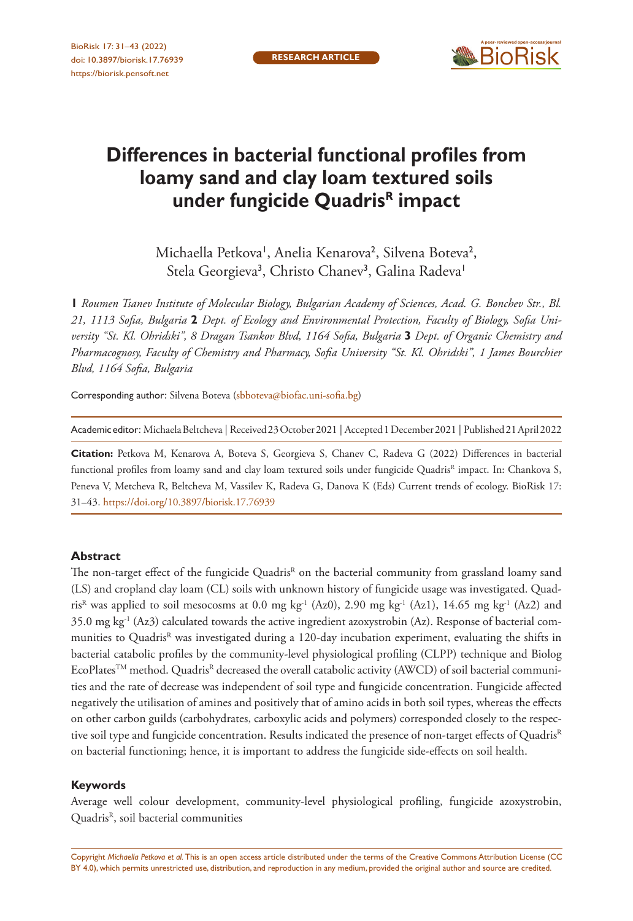

# **Differences in bacterial functional profiles from loamy sand and clay loam textured soils under fungicide QuadrisR impact**

Michaella Petkova', Anelia Kenarova<sup>2</sup>, Silvena Boteva<sup>2</sup>, Stela Georgieva<sup>3</sup>, Christo Chanev<sup>3</sup>, Galina Radeva<sup>1</sup>

**1** *Roumen Tsanev Institute of Molecular Biology, Bulgarian Academy of Sciences, Acad. G. Bonchev Str., Bl. 21, 1113 Sofia, Bulgaria* **2** *Dept. of Ecology and Environmental Protection, Faculty of Biology, Sofia University "St. Kl. Ohridski", 8 Dragan Tsankov Blvd, 1164 Sofia, Bulgaria* **3** *Dept. of Organic Chemistry and Pharmacognosy, Faculty of Chemistry and Pharmacy, Sofia University "St. Kl. Ohridski", 1 James Bourchier Blvd, 1164 Sofia, Bulgaria*

Corresponding author: Silvena Boteva ([sbboteva@biofac.uni-sofia.bg\)](mailto:sbboteva@biofac.uni-sofia.bg)

Academic editor: Michaela Beltcheva | Received 23 October 2021 | Accepted 1 December 2021 | Published 21 April 2022

**Citation:** Petkova M, Kenarova A, Boteva S, Georgieva S, Chanev C, Radeva G (2022) Differences in bacterial functional profiles from loamy sand and clay loam textured soils under fungicide Quadris<sup>R</sup> impact. In: Chankova S, Peneva V, Metcheva R, Beltcheva M, Vassilev K, Radeva G, Danova K (Eds) Current trends of ecology. BioRisk 17: 31–43.<https://doi.org/10.3897/biorisk.17.76939>

#### **Abstract**

The non-target effect of the fungicide Quadris<sup>R</sup> on the bacterial community from grassland loamy sand (LS) and cropland clay loam (CL) soils with unknown history of fungicide usage was investigated. Quadris<sup>R</sup> was applied to soil mesocosms at 0.0 mg kg<sup>-1</sup> (Az0), 2.90 mg kg<sup>-1</sup> (Az1), 14.65 mg kg<sup>-1</sup> (Az2) and 35.0 mg kg-1 (Az3) calculated towards the active ingredient azoxystrobin (Az). Response of bacterial communities to Quadris<sup>R</sup> was investigated during a 120-day incubation experiment, evaluating the shifts in bacterial catabolic profiles by the community-level physiological profiling (CLPP) technique and Biolog EcoPlates<sup>™</sup> method. Quadris<sup>R</sup> decreased the overall catabolic activity (AWCD) of soil bacterial communities and the rate of decrease was independent of soil type and fungicide concentration. Fungicide affected negatively the utilisation of amines and positively that of amino acids in both soil types, whereas the effects on other carbon guilds (carbohydrates, carboxylic acids and polymers) corresponded closely to the respective soil type and fungicide concentration. Results indicated the presence of non-target effects of Quadris<sup>R</sup> on bacterial functioning; hence, it is important to address the fungicide side-effects on soil health.

#### **Keywords**

Average well colour development, community-level physiological profiling, fungicide azoxystrobin, Quadris<sup>R</sup>, soil bacterial communities

Copyright *Michaella Petkova et al.* This is an open access article distributed under the terms of the [Creative Commons Attribution License \(CC](http://creativecommons.org/licenses/by/4.0/)  [BY 4.0\)](http://creativecommons.org/licenses/by/4.0/), which permits unrestricted use, distribution, and reproduction in any medium, provided the original author and source are credited.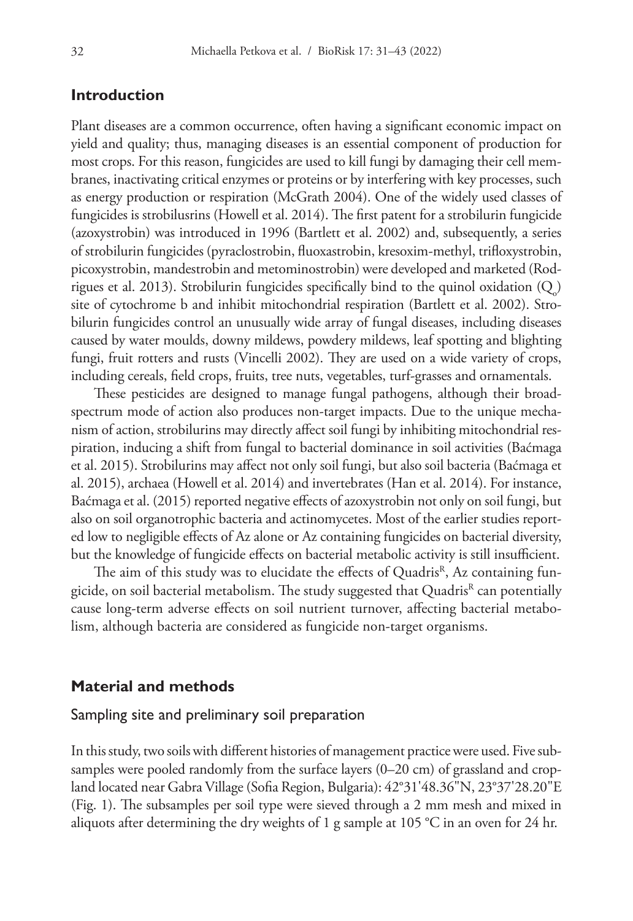## **Introduction**

Plant diseases are a common occurrence, often having a significant economic impact on yield and quality; thus, managing diseases is an essential component of production for most crops. For this reason, fungicides are used to kill fungi by damaging their cell membranes, inactivating critical enzymes or proteins or by interfering with key processes, such as energy production or respiration (McGrath 2004). One of the widely used classes of fungicides is strobilusrins (Howell et al. 2014). The first patent for a strobilurin fungicide (azoxystrobin) was introduced in 1996 (Bartlett et al. 2002) and, subsequently, a series of strobilurin fungicides (pyraclostrobin, fluoxastrobin, kresoxim-methyl, trifloxystrobin, picoxystrobin, mandestrobin and metominostrobin) were developed and marketed (Rodrigues et al. 2013). Strobilurin fungicides specifically bind to the quinol oxidation  $(Q_0)$ site of cytochrome b and inhibit mitochondrial respiration (Bartlett et al. 2002). Strobilurin fungicides control an unusually wide array of fungal diseases, including diseases caused by water moulds, downy mildews, powdery mildews, leaf spotting and blighting fungi, fruit rotters and rusts (Vincelli 2002). They are used on a wide variety of crops, including cereals, field crops, fruits, tree nuts, vegetables, turf-grasses and ornamentals.

These pesticides are designed to manage fungal pathogens, although their broadspectrum mode of action also produces non-target impacts. Due to the unique mechanism of action, strobilurins may directly affect soil fungi by inhibiting mitochondrial respiration, inducing a shift from fungal to bacterial dominance in soil activities (Baćmaga et al. 2015). Strobilurins may affect not only soil fungi, but also soil bacteria (Baćmaga et al. 2015), archaea (Howell et al. 2014) and invertebrates (Han et al. 2014). For instance, Baćmaga et al. (2015) reported negative effects of azoxystrobin not only on soil fungi, but also on soil organotrophic bacteria and actinomycetes. Most of the earlier studies reported low to negligible effects of Az alone or Az containing fungicides on bacterial diversity, but the knowledge of fungicide effects on bacterial metabolic activity is still insufficient.

The aim of this study was to elucidate the effects of Quadris<sup>R</sup>, Az containing fungicide, on soil bacterial metabolism. The study suggested that Quadris<sup>R</sup> can potentially cause long-term adverse effects on soil nutrient turnover, affecting bacterial metabolism, although bacteria are considered as fungicide non-target organisms.

#### **Material and methods**

#### Sampling site and preliminary soil preparation

In this study, two soils with different histories of management practice were used. Five subsamples were pooled randomly from the surface layers (0–20 cm) of grassland and cropland located near Gabra Village (Sofia Region, Bulgaria): 42°31'48.36"N, 23°37'28.20"E (Fig. 1). The subsamples per soil type were sieved through a 2 mm mesh and mixed in aliquots after determining the dry weights of 1 g sample at 105 °C in an oven for 24 hr.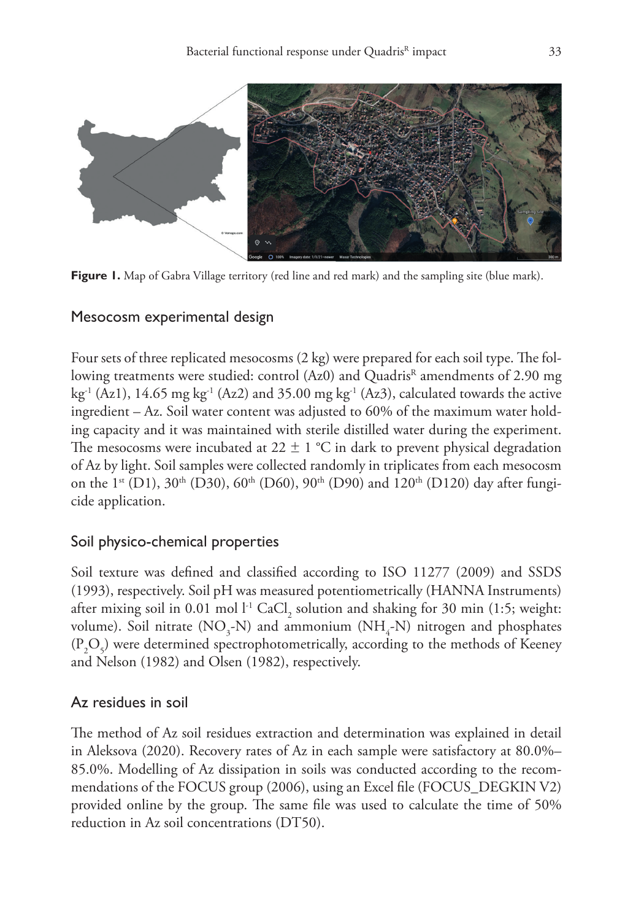

**Figure 1.** Map of Gabra Village territory (red line and red mark) and the sampling site (blue mark).

## Mesocosm experimental design

Four sets of three replicated mesocosms (2 kg) were prepared for each soil type. The following treatments were studied: control (Az0) and Quadris<sup>R</sup> amendments of 2.90 mg kg<sup>-1</sup> (Az1), 14.65 mg kg<sup>-1</sup> (Az2) and 35.00 mg kg<sup>-1</sup> (Az3), calculated towards the active ingredient – Az. Soil water content was adjusted to 60% of the maximum water holding capacity and it was maintained with sterile distilled water during the experiment. The mesocosms were incubated at  $22 \pm 1$  °C in dark to prevent physical degradation of Az by light. Soil samples were collected randomly in triplicates from each mesocosm on the 1<sup>st</sup> (D1), 30<sup>th</sup> (D30), 60<sup>th</sup> (D60), 90<sup>th</sup> (D90) and 120<sup>th</sup> (D120) day after fungicide application.

# Soil physico-chemical properties

Soil texture was defined and classified according to ISO 11277 (2009) and SSDS (1993), respectively. Soil pH was measured potentiometrically (HANNA Instruments) after mixing soil in 0.01 mol  $l^1$  CaCl<sub>2</sub> solution and shaking for 30 min (1:5; weight: volume). Soil nitrate  $(\text{NO}_3\text{-N})$  and ammonium  $(\text{NH}_4\text{-N})$  nitrogen and phosphates  $(P_2O_5)$  were determined spectrophotometrically, according to the methods of Keeney and Nelson (1982) and Olsen (1982), respectively.

# Az residues in soil

The method of Az soil residues extraction and determination was explained in detail in Aleksova (2020). Recovery rates of Az in each sample were satisfactory at 80.0%– 85.0%. Modelling of Az dissipation in soils was conducted according to the recommendations of the FOCUS group (2006), using an Excel file (FOCUS\_DEGKIN V2) provided online by the group. The same file was used to calculate the time of 50% reduction in Az soil concentrations (DT50).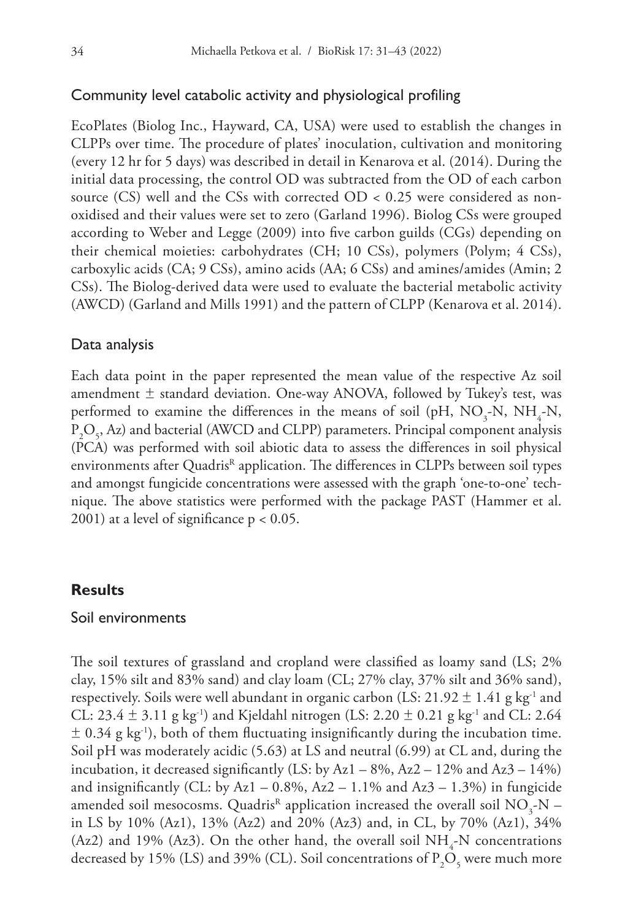#### Community level catabolic activity and physiological profiling

EcoPlates (Biolog Inc., Hayward, CA, USA) were used to establish the changes in CLPPs over time. The procedure of plates' inoculation, cultivation and monitoring (every 12 hr for 5 days) was described in detail in Kenarova et al. (2014). During the initial data processing, the control OD was subtracted from the OD of each carbon source (CS) well and the CSs with corrected OD < 0.25 were considered as nonoxidised and their values were set to zero (Garland 1996). Biolog CSs were grouped according to Weber and Legge (2009) into five carbon guilds (CGs) depending on their chemical moieties: carbohydrates (CH; 10 CSs), polymers (Polym; 4 CSs), carboxylic acids (CA; 9 CSs), amino acids (AA; 6 CSs) and amines/amides (Amin; 2 CSs). The Biolog-derived data were used to evaluate the bacterial metabolic activity (AWCD) (Garland and Mills 1991) and the pattern of CLPP (Kenarova et al. 2014).

#### Data analysis

Each data point in the paper represented the mean value of the respective Az soil amendment  $\pm$  standard deviation. One-way ANOVA, followed by Tukey's test, was performed to examine the differences in the means of soil (pH,  $NO_3$ -N,  $NH_4$ -N,  $P_2O_5$ , Az) and bacterial (AWCD and CLPP) parameters. Principal component analysis (PCA) was performed with soil abiotic data to assess the differences in soil physical environments after Quadris<sup>R</sup> application. The differences in CLPPs between soil types and amongst fungicide concentrations were assessed with the graph 'one-to-one' technique. The above statistics were performed with the package PAST (Hammer et al. 2001) at a level of significance  $p < 0.05$ .

#### **Results**

#### Soil environments

The soil textures of grassland and cropland were classified as loamy sand (LS; 2% clay, 15% silt and 83% sand) and clay loam (CL; 27% clay, 37% silt and 36% sand), respectively. Soils were well abundant in organic carbon (LS: 21.92  $\pm$  1.41 g kg<sup>-1</sup> and CL:  $23.4 \pm 3.11$  g kg<sup>-1</sup>) and Kjeldahl nitrogen (LS:  $2.20 \pm 0.21$  g kg<sup>-1</sup> and CL:  $2.64$  $\pm$  0.34 g kg<sup>-1</sup>), both of them fluctuating insignificantly during the incubation time. Soil pH was moderately acidic (5.63) at LS and neutral (6.99) at CL and, during the incubation, it decreased significantly (LS: by  $Az1 - 8\%$ ,  $Az2 - 12\%$  and  $Az3 - 14\%$ ) and insignificantly (CL: by Az1 – 0.8%, Az2 – 1.1% and Az3 – 1.3%) in fungicide amended soil mesocosms. Quadris<sup>R</sup> application increased the overall soil  $\mathrm{NO_{3}\text{-}N-}$ in LS by 10% (Az1), 13% (Az2) and 20% (Az3) and, in CL, by 70% (Az1), 34% (Az2) and 19% (Az3). On the other hand, the overall soil  $NH_{4}$ -N concentrations decreased by 15% (LS) and 39% (CL). Soil concentrations of  $P_2O_5$  were much more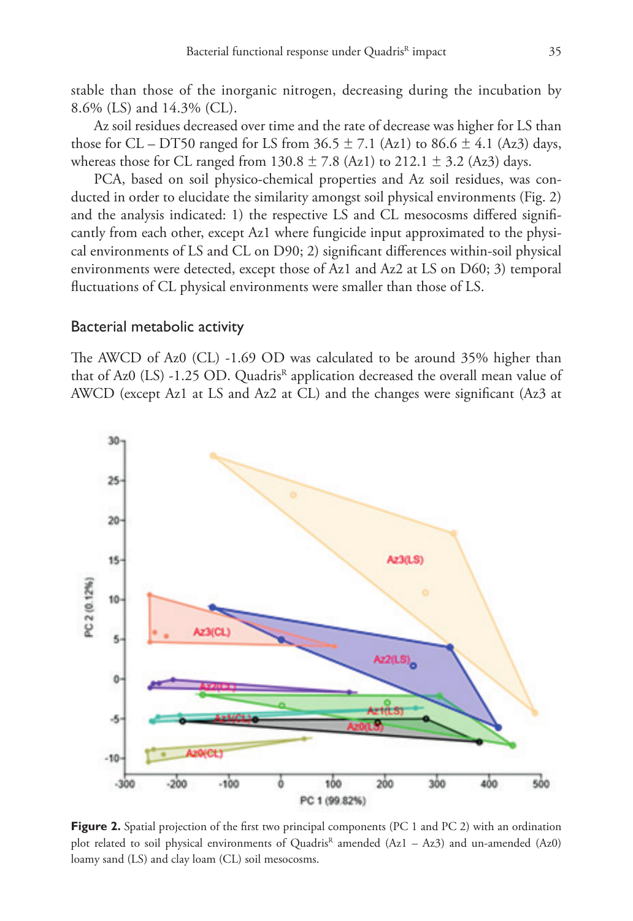Az soil residues decreased over time and the rate of decrease was higher for LS than those for CL – DT50 ranged for LS from  $36.5 \pm 7.1$  (Az1) to  $86.6 \pm 4.1$  (Az3) days, whereas those for CL ranged from  $130.8 \pm 7.8$  (Az1) to  $212.1 \pm 3.2$  (Az3) days.

PCA, based on soil physico-chemical properties and Az soil residues, was conducted in order to elucidate the similarity amongst soil physical environments (Fig. 2) and the analysis indicated: 1) the respective LS and CL mesocosms differed significantly from each other, except Az1 where fungicide input approximated to the physical environments of LS and CL on D90; 2) significant differences within-soil physical environments were detected, except those of Az1 and Az2 at LS on D60; 3) temporal fluctuations of CL physical environments were smaller than those of LS.

#### Bacterial metabolic activity

The AWCD of Az0 (CL) -1.69 OD was calculated to be around 35% higher than that of Az0  $(LS)$  -1.25 OD. Quadris<sup>R</sup> application decreased the overall mean value of AWCD (except Az1 at LS and Az2 at CL) and the changes were significant (Az3 at



**Figure 2.** Spatial projection of the first two principal components (PC 1 and PC 2) with an ordination plot related to soil physical environments of Quadris<sup>R</sup> amended  $(Az1 - Az3)$  and un-amended  $(Az0)$ loamy sand (LS) and clay loam (CL) soil mesocosms.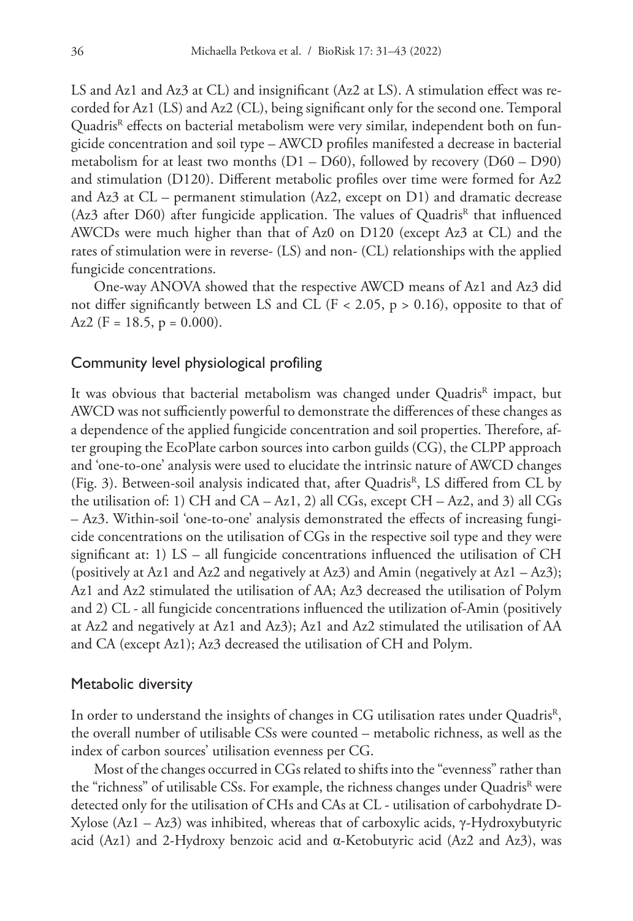LS and Az1 and Az3 at CL) and insignificant (Az2 at LS). A stimulation effect was recorded for Az1 (LS) and Az2 (CL), being significant only for the second one. Temporal Quadris<sup>R</sup> effects on bacterial metabolism were very similar, independent both on fungicide concentration and soil type – AWCD profiles manifested a decrease in bacterial metabolism for at least two months  $(D1 - D60)$ , followed by recovery  $(D60 - D90)$ and stimulation (D120). Different metabolic profiles over time were formed for Az2 and Az3 at CL – permanent stimulation (Az2, except on D1) and dramatic decrease (Az3 after D60) after fungicide application. The values of Quadris<sup>R</sup> that influenced AWCDs were much higher than that of Az0 on D120 (except Az3 at CL) and the rates of stimulation were in reverse- (LS) and non- (CL) relationships with the applied fungicide concentrations.

One-way ANOVA showed that the respective AWCD means of Az1 and Az3 did not differ significantly between LS and CL ( $F \lt 2.05$ ,  $p > 0.16$ ), opposite to that of Az2 (F = 18.5, p = 0.000).

#### Community level physiological profiling

It was obvious that bacterial metabolism was changed under Quadris<sup>R</sup> impact, but AWCD was not sufficiently powerful to demonstrate the differences of these changes as a dependence of the applied fungicide concentration and soil properties. Therefore, after grouping the EcoPlate carbon sources into carbon guilds (CG), the CLPP approach and 'one-to-one' analysis were used to elucidate the intrinsic nature of AWCD changes (Fig. 3). Between-soil analysis indicated that, after Quadris<sup>R</sup>, LS differed from CL by the utilisation of: 1) CH and  $CA - Az1$ , 2) all  $CGs$ , except  $CH - Az2$ , and 3) all  $CGs$ – Az3. Within-soil 'one-to-one' analysis demonstrated the effects of increasing fungicide concentrations on the utilisation of CGs in the respective soil type and they were significant at: 1)  $LS - all$  fungicide concentrations influenced the utilisation of  $CH$ (positively at Az1 and Az2 and negatively at Az3) and Amin (negatively at Az1 – Az3); Az1 and Az2 stimulated the utilisation of AA; Az3 decreased the utilisation of Polym and 2) CL - all fungicide concentrations influenced the utilization of-Amin (positively at Az2 and negatively at Az1 and Az3); Az1 and Az2 stimulated the utilisation of AA and CA (except Az1); Az3 decreased the utilisation of CH and Polym.

#### Metabolic diversity

In order to understand the insights of changes in CG utilisation rates under Quadris<sup>R</sup>, the overall number of utilisable CSs were counted – metabolic richness, as well as the index of carbon sources' utilisation evenness per CG.

Most of the changes occurred in CGs related to shifts into the "evenness" rather than the "richness" of utilisable CSs. For example, the richness changes under Quadris<sup>R</sup> were detected only for the utilisation of CHs and CAs at CL - utilisation of carbohydrate D-Xylose (Az1 – Az3) was inhibited, whereas that of carboxylic acids, γ-Hydroxybutyric acid (Az1) and 2-Hydroxy benzoic acid and α-Ketobutyric acid (Az2 and Az3), was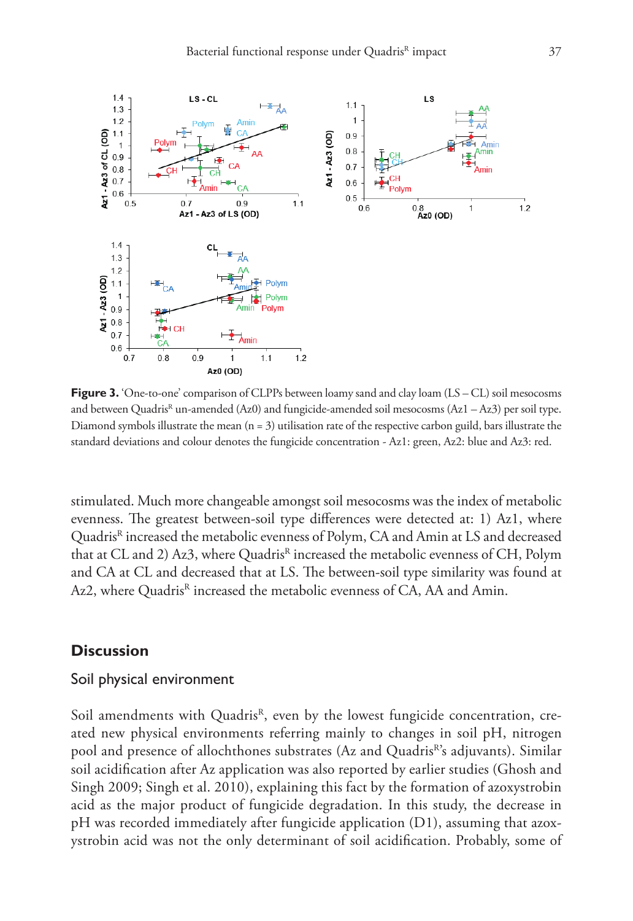

**Figure 3.** 'One-to-one' comparison of CLPPs between loamy sand and clay loam (LS – CL) soil mesocosms and between Quadris<sup>R</sup> un-amended (Az0) and fungicide-amended soil mesocosms (Az1 – Az3) per soil type. Diamond symbols illustrate the mean  $(n = 3)$  utilisation rate of the respective carbon guild, bars illustrate the standard deviations and colour denotes the fungicide concentration - Az1: green, Az2: blue and Az3: red.

stimulated. Much more changeable amongst soil mesocosms was the index of metabolic evenness. The greatest between-soil type differences were detected at: 1) Az1, where Quadris<sup>R</sup> increased the metabolic evenness of Polym, CA and Amin at LS and decreased that at CL and 2) Az3, where Quadris<sup>R</sup> increased the metabolic evenness of CH, Polym and CA at CL and decreased that at LS. The between-soil type similarity was found at Az2, where Quadris<sup>R</sup> increased the metabolic evenness of CA, AA and Amin.

#### **Discussion**

#### Soil physical environment

Soil amendments with Quadris<sup>R</sup>, even by the lowest fungicide concentration, created new physical environments referring mainly to changes in soil pH, nitrogen pool and presence of allochthones substrates (Az and Quadris<sup>R'</sup>s adjuvants). Similar soil acidification after Az application was also reported by earlier studies (Ghosh and Singh 2009; Singh et al. 2010), explaining this fact by the formation of azoxystrobin acid as the major product of fungicide degradation. In this study, the decrease in pH was recorded immediately after fungicide application (D1), assuming that azoxystrobin acid was not the only determinant of soil acidification. Probably, some of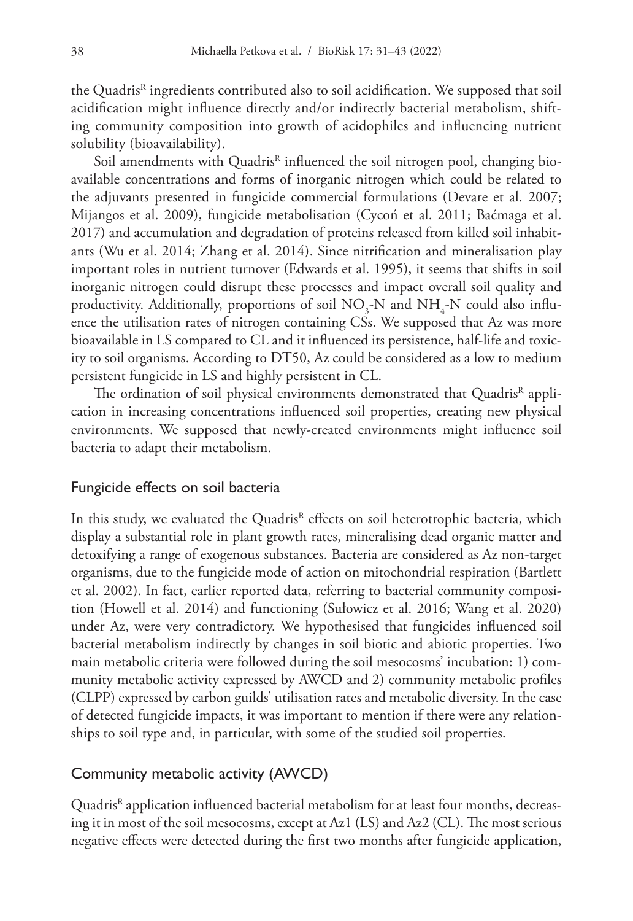the Quadris<sup>R</sup> ingredients contributed also to soil acidification. We supposed that soil acidification might influence directly and/or indirectly bacterial metabolism, shifting community composition into growth of acidophiles and influencing nutrient solubility (bioavailability).

Soil amendments with Quadris<sup>R</sup> influenced the soil nitrogen pool, changing bioavailable concentrations and forms of inorganic nitrogen which could be related to the adjuvants presented in fungicide commercial formulations (Devare et al. 2007; Mijangos et al. 2009), fungicide metabolisation (Cycoń et al. 2011; Baćmaga et al. 2017) and accumulation and degradation of proteins released from killed soil inhabitants (Wu et al. 2014; Zhang et al. 2014). Since nitrification and mineralisation play important roles in nutrient turnover (Edwards et al. 1995), it seems that shifts in soil inorganic nitrogen could disrupt these processes and impact overall soil quality and productivity. Additionally, proportions of soil  $\rm NO_3\text{-}N$  and  $\rm NH_4\text{-}N$  could also influence the utilisation rates of nitrogen containing CSs. We supposed that Az was more bioavailable in LS compared to CL and it influenced its persistence, half-life and toxicity to soil organisms. According to DT50, Az could be considered as a low to medium persistent fungicide in LS and highly persistent in CL.

The ordination of soil physical environments demonstrated that Quadris<sup>R</sup> application in increasing concentrations influenced soil properties, creating new physical environments. We supposed that newly-created environments might influence soil bacteria to adapt their metabolism.

#### Fungicide effects on soil bacteria

In this study, we evaluated the Quadris<sup>R</sup> effects on soil heterotrophic bacteria, which display a substantial role in plant growth rates, mineralising dead organic matter and detoxifying a range of exogenous substances. Bacteria are considered as Az non-target organisms, due to the fungicide mode of action on mitochondrial respiration (Bartlett et al. 2002). In fact, earlier reported data, referring to bacterial community composition (Howell et al. 2014) and functioning (Sułowicz et al. 2016; Wang et al. 2020) under Az, were very contradictory. We hypothesised that fungicides influenced soil bacterial metabolism indirectly by changes in soil biotic and abiotic properties. Two main metabolic criteria were followed during the soil mesocosms' incubation: 1) community metabolic activity expressed by AWCD and 2) community metabolic profiles (CLPP) expressed by carbon guilds' utilisation rates and metabolic diversity. In the case of detected fungicide impacts, it was important to mention if there were any relationships to soil type and, in particular, with some of the studied soil properties.

#### Community metabolic activity (AWCD)

Quadris<sup>R</sup> application influenced bacterial metabolism for at least four months, decreasing it in most of the soil mesocosms, except at Az1 (LS) and Az2 (CL). The most serious negative effects were detected during the first two months after fungicide application,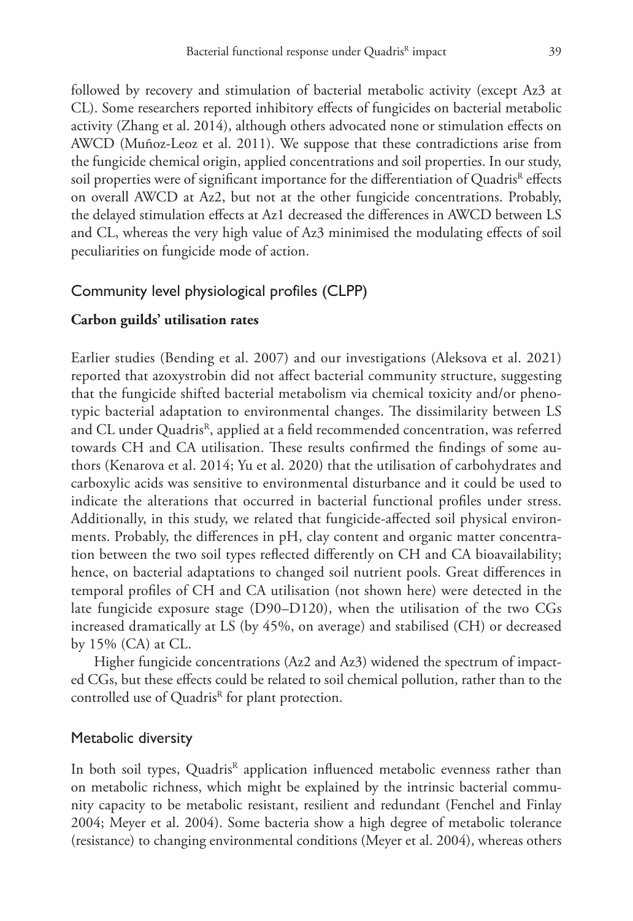followed by recovery and stimulation of bacterial metabolic activity (except Az3 at CL). Some researchers reported inhibitory effects of fungicides on bacterial metabolic activity (Zhang et al. 2014), although others advocated none or stimulation effects on AWCD (Muñoz-Leoz et al. 2011). We suppose that these contradictions arise from the fungicide chemical origin, applied concentrations and soil properties. In our study, soil properties were of significant importance for the differentiation of Quadris<sup>R</sup> effects on overall AWCD at Az2, but not at the other fungicide concentrations. Probably, the delayed stimulation effects at Az1 decreased the differences in AWCD between LS and CL, whereas the very high value of Az3 minimised the modulating effects of soil peculiarities on fungicide mode of action.

#### Community level physiological profiles (CLPP)

#### **Carbon guilds' utilisation rates**

Earlier studies (Bending et al. 2007) and our investigations (Aleksova et al. 2021) reported that azoxystrobin did not affect bacterial community structure, suggesting that the fungicide shifted bacterial metabolism via chemical toxicity and/or phenotypic bacterial adaptation to environmental changes. The dissimilarity between LS and CL under Quadris<sup>R</sup>, applied at a field recommended concentration, was referred towards CH and CA utilisation. These results confirmed the findings of some authors (Kenarova et al. 2014; Yu et al. 2020) that the utilisation of carbohydrates and carboxylic acids was sensitive to environmental disturbance and it could be used to indicate the alterations that occurred in bacterial functional profiles under stress. Additionally, in this study, we related that fungicide-affected soil physical environments. Probably, the differences in pH, clay content and organic matter concentration between the two soil types reflected differently on CH and CA bioavailability; hence, on bacterial adaptations to changed soil nutrient pools. Great differences in temporal profiles of CH and CA utilisation (not shown here) were detected in the late fungicide exposure stage (D90–D120), when the utilisation of the two CGs increased dramatically at LS (by 45%, on average) and stabilised (CH) or decreased by 15% (CA) at CL.

Higher fungicide concentrations (Az2 and Az3) widened the spectrum of impacted CGs, but these effects could be related to soil chemical pollution, rather than to the controlled use of Quadris<sup>R</sup> for plant protection.

#### Metabolic diversity

In both soil types, Quadris<sup>R</sup> application influenced metabolic evenness rather than on metabolic richness, which might be explained by the intrinsic bacterial community capacity to be metabolic resistant, resilient and redundant (Fenchel and Finlay 2004; Meyer et al. 2004). Some bacteria show a high degree of metabolic tolerance (resistance) to changing environmental conditions (Meyer et al. 2004), whereas others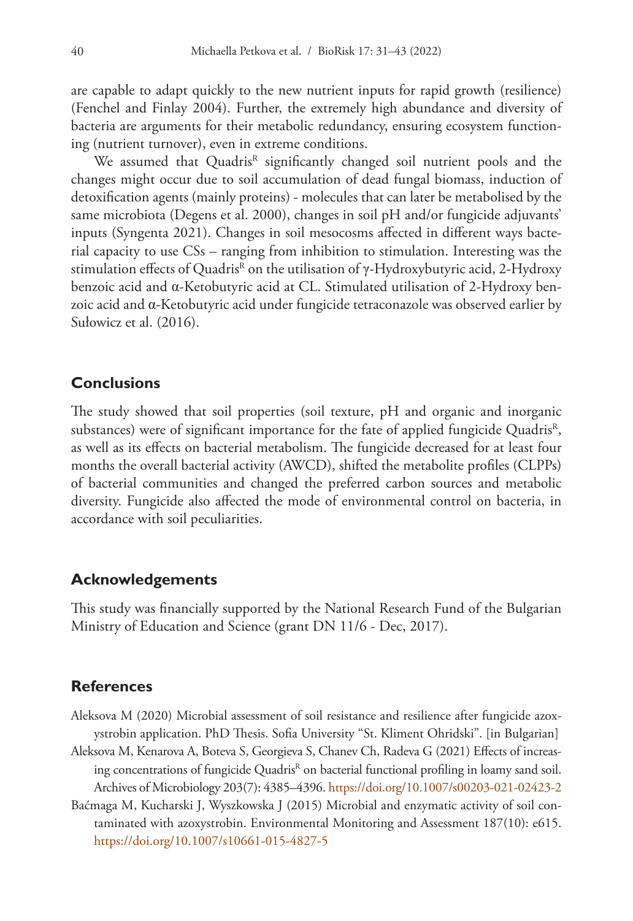are capable to adapt quickly to the new nutrient inputs for rapid growth (resilience) (Fenchel and Finlay 2004). Further, the extremely high abundance and diversity of bacteria are arguments for their metabolic redundancy, ensuring ecosystem functioning (nutrient turnover), even in extreme conditions.

We assumed that Quadris<sup>R</sup> significantly changed soil nutrient pools and the changes might occur due to soil accumulation of dead fungal biomass, induction of detoxification agents (mainly proteins) - molecules that can later be metabolised by the same microbiota (Degens et al. 2000), changes in soil pH and/or fungicide adjuvants' inputs (Syngenta 2021). Changes in soil mesocosms affected in different ways bacterial capacity to use CSs – ranging from inhibition to stimulation. Interesting was the stimulation effects of Quadris<sup>R</sup> on the utilisation of γ-Hydroxybutyric acid, 2-Hydroxy benzoic acid and α-Ketobutyric acid at CL. Stimulated utilisation of 2-Hydroxy benzoic acid and α-Ketobutyric acid under fungicide tetraconazole was observed earlier by Sułowicz et al. (2016).

### **Conclusions**

The study showed that soil properties (soil texture, pH and organic and inorganic substances) were of significant importance for the fate of applied fungicide Quadris $R$ , as well as its effects on bacterial metabolism. The fungicide decreased for at least four months the overall bacterial activity (AWCD), shifted the metabolite profiles (CLPPs) of bacterial communities and changed the preferred carbon sources and metabolic diversity. Fungicide also affected the mode of environmental control on bacteria, in accordance with soil peculiarities.

#### **Acknowledgements**

This study was financially supported by the National Research Fund of the Bulgarian Ministry of Education and Science (grant DN 11/6 - Dec, 2017).

## **References**

- Aleksova M (2020) Microbial assessment of soil resistance and resilience after fungicide azoxystrobin application. PhD Thesis. Sofia University "St. Kliment Ohridski". [in Bulgarian]
- Aleksova M, Kenarova A, Boteva S, Georgieva S, Chanev Ch, Radeva G (2021) Effects of increasing concentrations of fungicide Quadris<sup>R</sup> on bacterial functional profiling in loamy sand soil. Archives of Microbiology 203(7): 4385–4396.<https://doi.org/10.1007/s00203-021-02423-2>
- Baćmaga M, Kucharski J, Wyszkowska J (2015) Microbial and enzymatic activity of soil contaminated with azoxystrobin. Environmental Monitoring and Assessment 187(10): e615. <https://doi.org/10.1007/s10661-015-4827-5>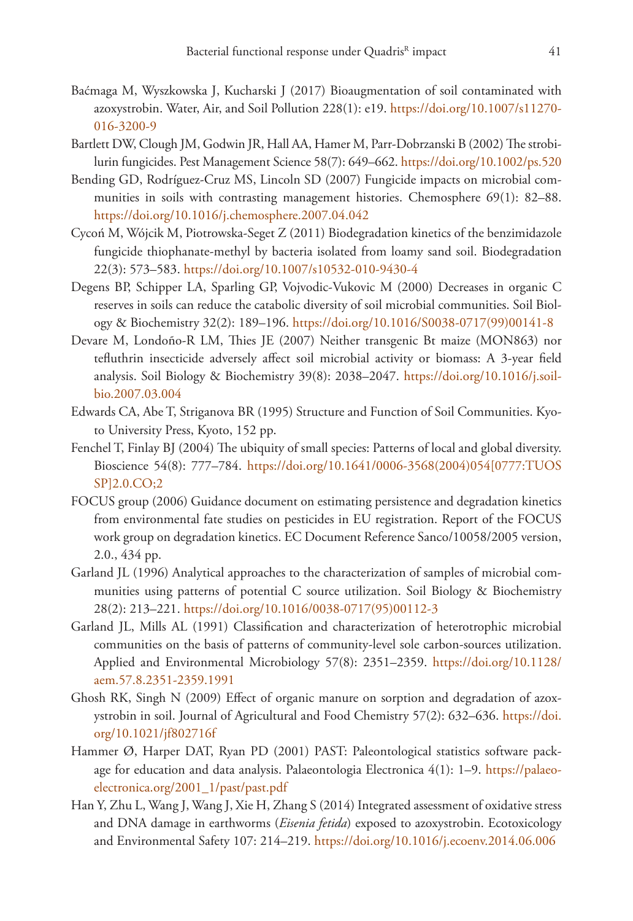- Baćmaga M, Wyszkowska J, Kucharski J (2017) Bioaugmentation of soil contaminated with azoxystrobin. Water, Air, and Soil Pollution 228(1): e19. [https://doi.org/10.1007/s11270-](https://doi.org/10.1007/s11270-016-3200-9) [016-3200-9](https://doi.org/10.1007/s11270-016-3200-9)
- Bartlett DW, Clough JM, Godwin JR, Hall AA, Hamer M, Parr-Dobrzanski B (2002) The strobilurin fungicides. Pest Management Science 58(7): 649–662.<https://doi.org/10.1002/ps.520>
- Bending GD, Rodríguez-Cruz MS, Lincoln SD (2007) Fungicide impacts on microbial communities in soils with contrasting management histories. Chemosphere 69(1): 82–88. <https://doi.org/10.1016/j.chemosphere.2007.04.042>
- Cycoń M, Wójcik M, Piotrowska-Seget Z (2011) Biodegradation kinetics of the benzimidazole fungicide thiophanate-methyl by bacteria isolated from loamy sand soil. Biodegradation 22(3): 573–583. <https://doi.org/10.1007/s10532-010-9430-4>
- Degens BP, Schipper LA, Sparling GP, Vojvodic-Vukovic M (2000) Decreases in organic C reserves in soils can reduce the catabolic diversity of soil microbial communities. Soil Biology & Biochemistry 32(2): 189–196. [https://doi.org/10.1016/S0038-0717\(99\)00141-8](https://doi.org/10.1016/S0038-0717(99)00141-8)
- Devare M, Londoño-R LM, Thies JE (2007) Neither transgenic Bt maize (MON863) nor tefluthrin insecticide adversely affect soil microbial activity or biomass: A 3-year field analysis. Soil Biology & Biochemistry 39(8): 2038–2047. [https://doi.org/10.1016/j.soil](https://doi.org/10.1016/j.soilbio.2007.03.004)[bio.2007.03.004](https://doi.org/10.1016/j.soilbio.2007.03.004)
- Edwards CA, Abe T, Striganova BR (1995) Structure and Function of Soil Communities. Kyoto University Press, Kyoto, 152 pp.
- Fenchel T, Finlay BJ (2004) The ubiquity of small species: Patterns of local and global diversity. Bioscience 54(8): 777–784. [https://doi.org/10.1641/0006-3568\(2004\)054\[0777:TUOS](https://doi.org/10.1641/0006-3568(2004)054%5B0777:TUOSSP%5D2.0.CO;2) [SP\]2.0.CO;2](https://doi.org/10.1641/0006-3568(2004)054%5B0777:TUOSSP%5D2.0.CO;2)
- FOCUS group (2006) Guidance document on estimating persistence and degradation kinetics from environmental fate studies on pesticides in EU registration. Report of the FOCUS work group on degradation kinetics. EC Document Reference Sanco/10058/2005 version, 2.0., 434 pp.
- Garland JL (1996) Analytical approaches to the characterization of samples of microbial communities using patterns of potential C source utilization. Soil Biology & Biochemistry 28(2): 213–221. [https://doi.org/10.1016/0038-0717\(95\)00112-3](https://doi.org/10.1016/0038-0717(95)00112-3)
- Garland JL, Mills AL (1991) Classification and characterization of heterotrophic microbial communities on the basis of patterns of community-level sole carbon-sources utilization. Applied and Environmental Microbiology 57(8): 2351–2359. [https://doi.org/10.1128/](https://doi.org/10.1128/aem.57.8.2351-2359.1991) [aem.57.8.2351-2359.1991](https://doi.org/10.1128/aem.57.8.2351-2359.1991)
- Ghosh RK, Singh N (2009) Effect of organic manure on sorption and degradation of azoxystrobin in soil. Journal of Agricultural and Food Chemistry 57(2): 632–636. [https://doi.](https://doi.org/10.1021/jf802716f) [org/10.1021/jf802716f](https://doi.org/10.1021/jf802716f)
- Hammer Ø, Harper DAT, Ryan PD (2001) PAST: Paleontological statistics software package for education and data analysis. Palaeontologia Electronica  $4(1)$ : 1–9. [https://palaeo](https://palaeo-electronica.org/2001_1/past/past.pdf)[electronica.org/2001\\_1/past/past.pdf](https://palaeo-electronica.org/2001_1/past/past.pdf)
- Han Y, Zhu L, Wang J, Wang J, Xie H, Zhang S (2014) Integrated assessment of oxidative stress and DNA damage in earthworms (*Eisenia fetida*) exposed to azoxystrobin. Ecotoxicology and Environmental Safety 107: 214–219.<https://doi.org/10.1016/j.ecoenv.2014.06.006>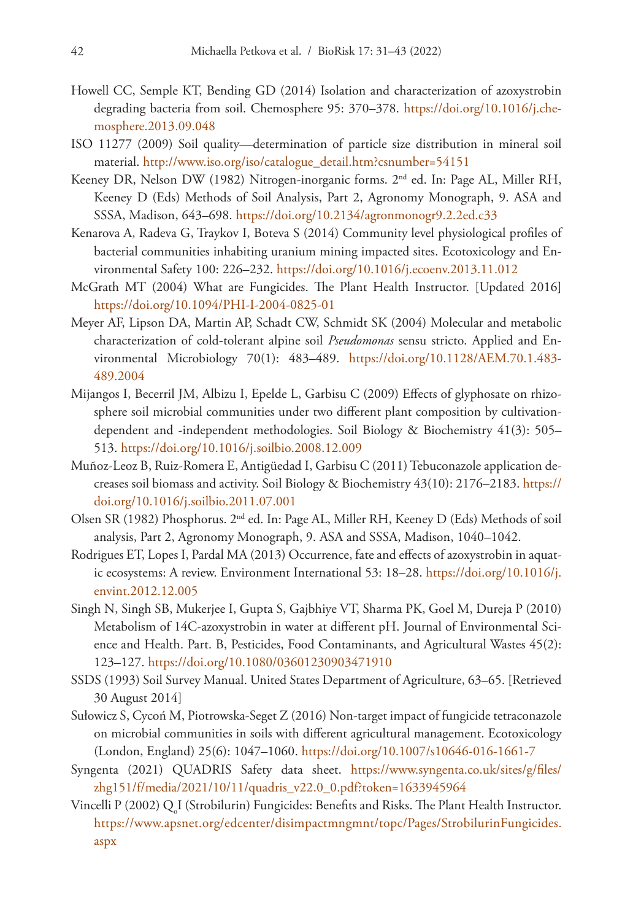- Howell CC, Semple KT, Bending GD (2014) Isolation and characterization of azoxystrobin degrading bacteria from soil. Chemosphere 95: 370–378. [https://doi.org/10.1016/j.che](https://doi.org/10.1016/j.chemosphere.2013.09.048)[mosphere.2013.09.048](https://doi.org/10.1016/j.chemosphere.2013.09.048)
- ISO 11277 (2009) Soil quality—determination of particle size distribution in mineral soil material. [http://www.iso.org/iso/catalogue\\_detail.htm?csnumber=54151](http://www.iso.org/iso/catalogue_detail.htm?csnumber=54151)
- Keeney DR, Nelson DW (1982) Nitrogen-inorganic forms. 2nd ed. In: Page AL, Miller RH, Keeney D (Eds) Methods of Soil Analysis, Part 2, Agronomy Monograph, 9. ASA and SSSA, Madison, 643–698.<https://doi.org/10.2134/agronmonogr9.2.2ed.c33>
- Kenarova A, Radeva G, Traykov I, Boteva S (2014) Community level physiological profiles of bacterial communities inhabiting uranium mining impacted sites. Ecotoxicology and Environmental Safety 100: 226–232.<https://doi.org/10.1016/j.ecoenv.2013.11.012>
- McGrath MT (2004) What are Fungicides. The Plant Health Instructor. [Updated 2016] <https://doi.org/10.1094/PHI-I-2004-0825-01>
- Meyer AF, Lipson DA, Martin AP, Schadt CW, Schmidt SK (2004) Molecular and metabolic characterization of cold-tolerant alpine soil *Pseudomonas* sensu stricto. Applied and Environmental Microbiology 70(1): 483–489. [https://doi.org/10.1128/AEM.70.1.483-](https://doi.org/10.1128/AEM.70.1.483-489.2004) [489.2004](https://doi.org/10.1128/AEM.70.1.483-489.2004)
- Mijangos I, Becerril JM, Albizu I, Epelde L, Garbisu C (2009) Effects of glyphosate on rhizosphere soil microbial communities under two different plant composition by cultivationdependent and -independent methodologies. Soil Biology & Biochemistry 41(3): 505– 513.<https://doi.org/10.1016/j.soilbio.2008.12.009>
- Muñoz-Leoz B, Ruiz-Romera E, Antigüedad I, Garbisu C (2011) Tebuconazole application decreases soil biomass and activity. Soil Biology & Biochemistry 43(10): 2176–2183. [https://](https://doi.org/10.1016/j.soilbio.2011.07.001) [doi.org/10.1016/j.soilbio.2011.07.001](https://doi.org/10.1016/j.soilbio.2011.07.001)
- Olsen SR (1982) Phosphorus. 2nd ed. In: Page AL, Miller RH, Keeney D (Eds) Methods of soil analysis, Part 2, Agronomy Monograph, 9. ASA and SSSA, Madison, 1040–1042.
- Rodrigues ET, Lopes I, Pardal MA (2013) Occurrence, fate and effects of azoxystrobin in aquatic ecosystems: A review. Environment International 53: 18–28. [https://doi.org/10.1016/j.](https://doi.org/10.1016/j.envint.2012.12.005) [envint.2012.12.005](https://doi.org/10.1016/j.envint.2012.12.005)
- Singh N, Singh SB, Mukerjee I, Gupta S, Gajbhiye VT, Sharma PK, Goel M, Dureja P (2010) Metabolism of 14C-azoxystrobin in water at different pH. Journal of Environmental Science and Health. Part. B, Pesticides, Food Contaminants, and Agricultural Wastes 45(2): 123–127.<https://doi.org/10.1080/03601230903471910>
- SSDS (1993) Soil Survey Manual. United States Department of Agriculture, 63–65. [Retrieved 30 August 2014]
- Sułowicz S, Cycoń M, Piotrowska-Seget Z (2016) Non-target impact of fungicide tetraconazole on microbial communities in soils with different agricultural management. Ecotoxicology (London, England) 25(6): 1047–1060. <https://doi.org/10.1007/s10646-016-1661-7>
- Syngenta (2021) QUADRIS Safety data sheet. [https://www.syngenta.co.uk/sites/g/files/](https://www.syngenta.co.uk/sites/g/files/zhg151/f/media/2021/10/11/quadris_v22.0_0.pdf?token=1633945964) [zhg151/f/media/2021/10/11/quadris\\_v22.0\\_0.pdf?token=1633945964](https://www.syngenta.co.uk/sites/g/files/zhg151/f/media/2021/10/11/quadris_v22.0_0.pdf?token=1633945964)
- Vincelli P (2002)  $\mathrm{Q}_\mathrm{o}$ I (Strobilurin) Fungicides: Benefits and Risks. The Plant Health Instructor. [https://www.apsnet.org/edcenter/disimpactmngmnt/topc/Pages/StrobilurinFungicides.](https://www.apsnet.org/edcenter/disimpactmngmnt/topc/Pages/StrobilurinFungicides.aspx) [aspx](https://www.apsnet.org/edcenter/disimpactmngmnt/topc/Pages/StrobilurinFungicides.aspx)